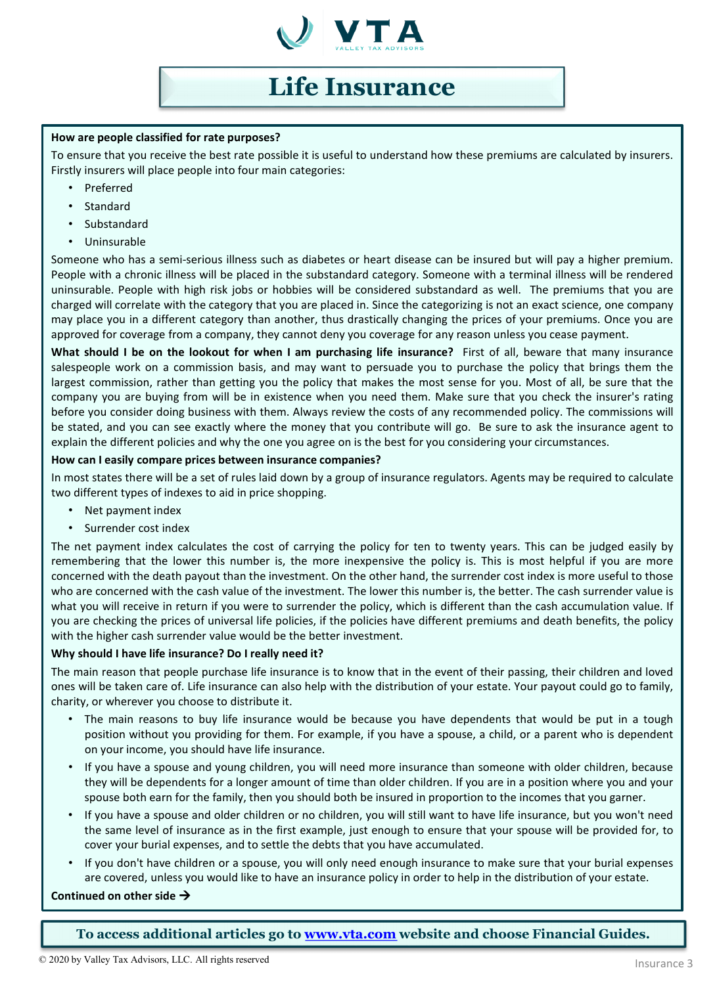

# **Life Insurance**

## **How are people classified for rate purposes?**

To ensure that you receive the best rate possible it is useful to understand how these premiums are calculated by insurers. Firstly insurers will place people into four main categories:

- Preferred
- Standard
- **Substandard**
- Uninsurable

Someone who has a semi-serious illness such as diabetes or heart disease can be insured but will pay a higher premium. People with a chronic illness will be placed in the substandard category. Someone with a terminal illness will be rendered uninsurable. People with high risk jobs or hobbies will be considered substandard as well. The premiums that you are charged will correlate with the category that you are placed in. Since the categorizing is not an exact science, one company may place you in a different category than another, thus drastically changing the prices of your premiums. Once you are approved for coverage from a company, they cannot deny you coverage for any reason unless you cease payment.

**What should I be on the lookout for when I am purchasing life insurance?** First of all, beware that many insurance salespeople work on a commission basis, and may want to persuade you to purchase the policy that brings them the largest commission, rather than getting you the policy that makes the most sense for you. Most of all, be sure that the company you are buying from will be in existence when you need them. Make sure that you check the insurer's rating before you consider doing business with them. Always review the costs of any recommended policy. The commissions will be stated, and you can see exactly where the money that you contribute will go. Be sure to ask the insurance agent to explain the different policies and why the one you agree on is the best for you considering your circumstances.

# **How can I easily compare prices between insurance companies?**

In most states there will be a set of rules laid down by a group of insurance regulators. Agents may be required to calculate two different types of indexes to aid in price shopping.

- Net payment index
- Surrender cost index

The net payment index calculates the cost of carrying the policy for ten to twenty years. This can be judged easily by remembering that the lower this number is, the more inexpensive the policy is. This is most helpful if you are more concerned with the death payout than the investment. On the other hand, the surrender cost index is more useful to those who are concerned with the cash value of the investment. The lower this number is, the better. The cash surrender value is what you will receive in return if you were to surrender the policy, which is different than the cash accumulation value. If you are checking the prices of universal life policies, if the policies have different premiums and death benefits, the policy with the higher cash surrender value would be the better investment.

# **Why should I have life insurance? Do I really need it?**

The main reason that people purchase life insurance is to know that in the event of their passing, their children and loved ones will be taken care of. Life insurance can also help with the distribution of your estate. Your payout could go to family, charity, or wherever you choose to distribute it.

- The main reasons to buy life insurance would be because you have dependents that would be put in a tough position without you providing for them. For example, if you have a spouse, a child, or a parent who is dependent on your income, you should have life insurance.
- If you have a spouse and young children, you will need more insurance than someone with older children, because they will be dependents for a longer amount of time than older children. If you are in a position where you and your spouse both earn for the family, then you should both be insured in proportion to the incomes that you garner.
- If you have a spouse and older children or no children, you will still want to have life insurance, but you won't need the same level of insurance as in the first example, just enough to ensure that your spouse will be provided for, to cover your burial expenses, and to settle the debts that you have accumulated.
- If you don't have children or a spouse, you will only need enough insurance to make sure that your burial expenses are covered, unless you would like to have an insurance policy in order to help in the distribution of your estate.

# **Continued on other side**

**To access additional articles go to [www.vta.com](http://www.vta.com/) website and choose Financial Guides.**